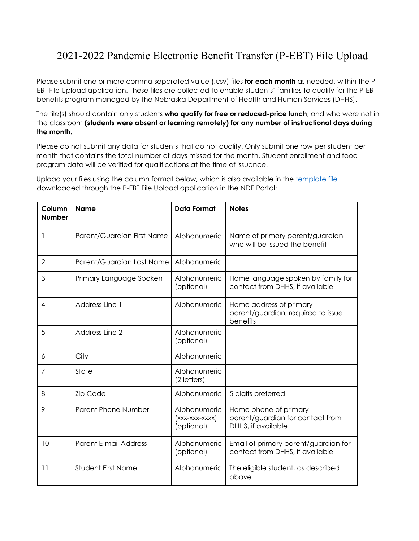## 2021-2022 Pandemic Electronic Benefit Transfer (P-EBT) File Upload

Please submit one or more comma separated value (.csv) files **for each month** as needed, within the P-EBT File Upload application. These files are collected to enable students' families to qualify for the P-EBT benefits program managed by the Nebraska Department of Health and Human Services (DHHS).

The file(s) should contain only students **who qualify for free or reduced-price lunch**, and who were not in the classroom **(students were absent or learning remotely) for any number of instructional days during the month**.

Please do not submit any data for students that do not qualify. Only submit one row per student per month that contains the total number of days missed for the month. Student enrollment and food program data will be verified for qualifications at the time of issuance.

Upload your files using the column format below, which is also available in the [template file](https://pebt.education.ne.gov/Home/Getdownloadtemplate) downloaded through the P-EBT File Upload application in the NDE Portal:

| Column<br><b>Number</b> | <b>Name</b>                  | <b>Data Format</b>                           | <b>Notes</b>                                                                    |
|-------------------------|------------------------------|----------------------------------------------|---------------------------------------------------------------------------------|
|                         | Parent/Guardian First Name   | Alphanumeric                                 | Name of primary parent/guardian<br>who will be issued the benefit               |
| $\overline{2}$          | Parent/Guardian Last Name    | Alphanumeric                                 |                                                                                 |
| 3                       | Primary Language Spoken      | Alphanumeric<br>(optional)                   | Home language spoken by family for<br>contact from DHHS, if available           |
| 4                       | Address Line 1               | Alphanumeric                                 | Home address of primary<br>parent/guardian, required to issue<br>benefits       |
| 5                       | Address Line 2               | Alphanumeric<br>(optional)                   |                                                                                 |
| 6                       | City                         | Alphanumeric                                 |                                                                                 |
| 7                       | State                        | Alphanumeric<br>(2 letters)                  |                                                                                 |
| 8                       | <b>Zip Code</b>              | Alphanumeric                                 | 5 digits preferred                                                              |
| 9                       | <b>Parent Phone Number</b>   | Alphanumeric<br>(xxx-xxx-xxxx)<br>(optional) | Home phone of primary<br>parent/guardian for contact from<br>DHHS, if available |
| 10                      | <b>Parent E-mail Address</b> | Alphanumeric<br>(optional)                   | Email of primary parent/guardian for<br>contact from DHHS, if available         |
| 11                      | <b>Student First Name</b>    | Alphanumeric                                 | The eligible student, as described<br>above                                     |